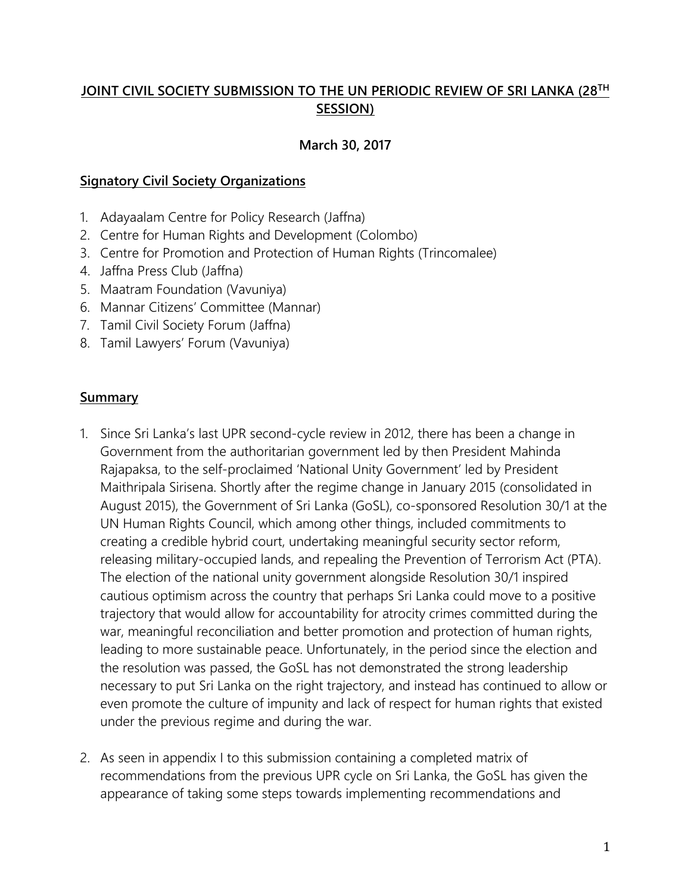### **JOINT CIVIL SOCIETY SUBMISSION TO THE UN PERIODIC REVIEW OF SRI LANKA (28TH SESSION)**

### **March 30, 2017**

#### **Signatory Civil Society Organizations**

- 1. Adayaalam Centre for Policy Research (Jaffna)
- 2. Centre for Human Rights and Development (Colombo)
- 3. Centre for Promotion and Protection of Human Rights (Trincomalee)
- 4. Jaffna Press Club (Jaffna)
- 5. Maatram Foundation (Vavuniya)
- 6. Mannar Citizens' Committee (Mannar)
- 7. Tamil Civil Society Forum (Jaffna)
- 8. Tamil Lawyers' Forum (Vavuniya)

#### **Summary**

- 1. Since Sri Lanka's last UPR second-cycle review in 2012, there has been a change in Government from the authoritarian government led by then President Mahinda Rajapaksa, to the self-proclaimed 'National Unity Government' led by President Maithripala Sirisena. Shortly after the regime change in January 2015 (consolidated in August 2015), the Government of Sri Lanka (GoSL), co-sponsored Resolution 30/1 at the UN Human Rights Council, which among other things, included commitments to creating a credible hybrid court, undertaking meaningful security sector reform, releasing military-occupied lands, and repealing the Prevention of Terrorism Act (PTA). The election of the national unity government alongside Resolution 30/1 inspired cautious optimism across the country that perhaps Sri Lanka could move to a positive trajectory that would allow for accountability for atrocity crimes committed during the war, meaningful reconciliation and better promotion and protection of human rights, leading to more sustainable peace. Unfortunately, in the period since the election and the resolution was passed, the GoSL has not demonstrated the strong leadership necessary to put Sri Lanka on the right trajectory, and instead has continued to allow or even promote the culture of impunity and lack of respect for human rights that existed under the previous regime and during the war.
- 2. As seen in appendix I to this submission containing a completed matrix of recommendations from the previous UPR cycle on Sri Lanka, the GoSL has given the appearance of taking some steps towards implementing recommendations and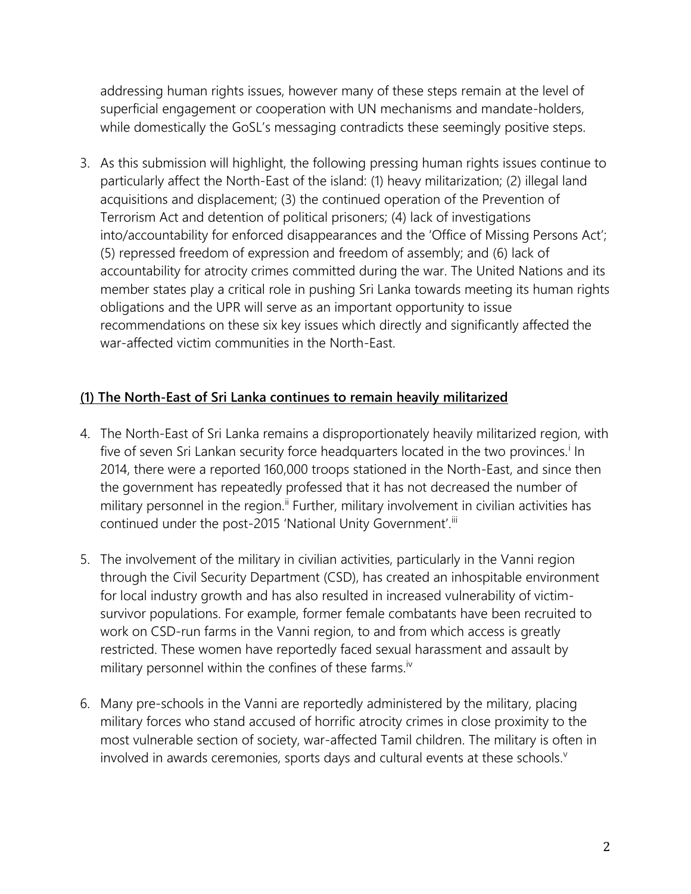addressing human rights issues, however many of these steps remain at the level of superficial engagement or cooperation with UN mechanisms and mandate-holders, while domestically the GoSL's messaging contradicts these seemingly positive steps.

3. As this submission will highlight, the following pressing human rights issues continue to particularly affect the North-East of the island: (1) heavy militarization; (2) illegal land acquisitions and displacement; (3) the continued operation of the Prevention of Terrorism Act and detention of political prisoners; (4) lack of investigations into/accountability for enforced disappearances and the 'Office of Missing Persons Act'; (5) repressed freedom of expression and freedom of assembly; and (6) lack of accountability for atrocity crimes committed during the war. The United Nations and its member states play a critical role in pushing Sri Lanka towards meeting its human rights obligations and the UPR will serve as an important opportunity to issue recommendations on these six key issues which directly and significantly affected the war-affected victim communities in the North-East.

### **(1) The North-East of Sri Lanka continues to remain heavily militarized**

- 4. The North-East of Sri Lanka remains a disproportionately heavily militarized region, with five of seven Sri Lankan security force headquarters located in the two provinces.<sup>i</sup> In 2014, there were a reported 160,000 troops stationed in the North-East, and since then the government has repeatedly professed that it has not decreased the number of military personnel in the region.<sup>ii</sup> Further, military involvement in civilian activities has continued under the post-2015 'National Unity Government'.iii
- 5. The involvement of the military in civilian activities, particularly in the Vanni region through the Civil Security Department (CSD), has created an inhospitable environment for local industry growth and has also resulted in increased vulnerability of victimsurvivor populations. For example, former female combatants have been recruited to work on CSD-run farms in the Vanni region, to and from which access is greatly restricted. These women have reportedly faced sexual harassment and assault by military personnel within the confines of these farms.<sup>iv</sup>
- 6. Many pre-schools in the Vanni are reportedly administered by the military, placing military forces who stand accused of horrific atrocity crimes in close proximity to the most vulnerable section of society, war-affected Tamil children. The military is often in involved in awards ceremonies, sports days and cultural events at these schools.<sup>v</sup>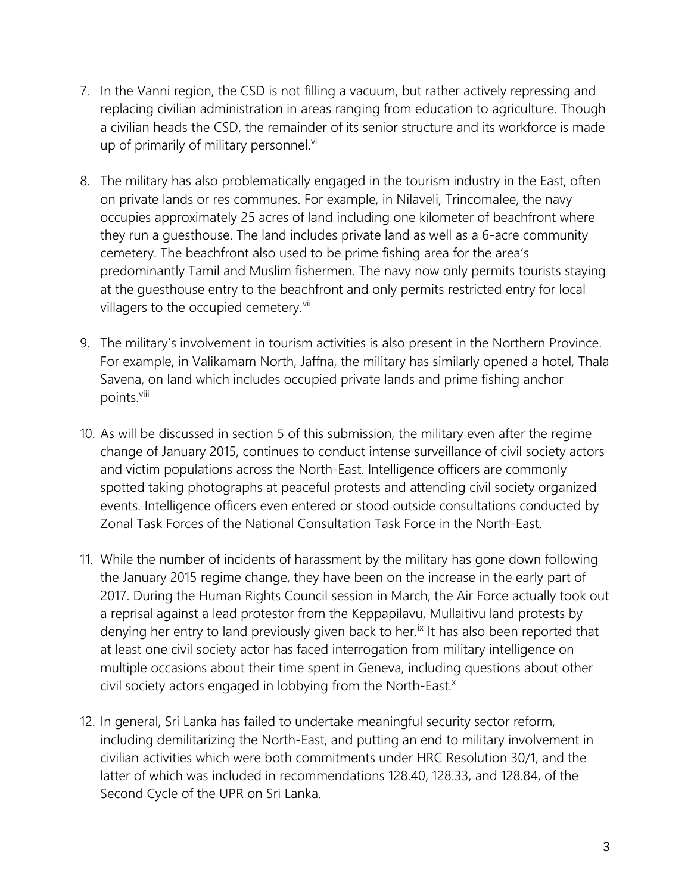- 7. In the Vanni region, the CSD is not filling a vacuum, but rather actively repressing and replacing civilian administration in areas ranging from education to agriculture. Though a civilian heads the CSD, the remainder of its senior structure and its workforce is made up of primarily of military personnel.<sup>vi</sup>
- 8. The military has also problematically engaged in the tourism industry in the East, often on private lands or res communes. For example, in Nilaveli, Trincomalee, the navy occupies approximately 25 acres of land including one kilometer of beachfront where they run a guesthouse. The land includes private land as well as a 6-acre community cemetery. The beachfront also used to be prime fishing area for the area's predominantly Tamil and Muslim fishermen. The navy now only permits tourists staying at the guesthouse entry to the beachfront and only permits restricted entry for local villagers to the occupied cemetery.<sup>vii</sup>
- 9. The military's involvement in tourism activities is also present in the Northern Province. For example, in Valikamam North, Jaffna, the military has similarly opened a hotel, Thala Savena, on land which includes occupied private lands and prime fishing anchor points.<sup>viii</sup>
- 10. As will be discussed in section 5 of this submission, the military even after the regime change of January 2015, continues to conduct intense surveillance of civil society actors and victim populations across the North-East. Intelligence officers are commonly spotted taking photographs at peaceful protests and attending civil society organized events. Intelligence officers even entered or stood outside consultations conducted by Zonal Task Forces of the National Consultation Task Force in the North-East.
- 11. While the number of incidents of harassment by the military has gone down following the January 2015 regime change, they have been on the increase in the early part of 2017. During the Human Rights Council session in March, the Air Force actually took out a reprisal against a lead protestor from the Keppapilavu, Mullaitivu land protests by denying her entry to land previously given back to her.<sup>ix</sup> It has also been reported that at least one civil society actor has faced interrogation from military intelligence on multiple occasions about their time spent in Geneva, including questions about other civil society actors engaged in lobbying from the North-East.<sup>x</sup>
- 12. In general, Sri Lanka has failed to undertake meaningful security sector reform, including demilitarizing the North-East, and putting an end to military involvement in civilian activities which were both commitments under HRC Resolution 30/1, and the latter of which was included in recommendations 128.40, 128.33, and 128.84, of the Second Cycle of the UPR on Sri Lanka.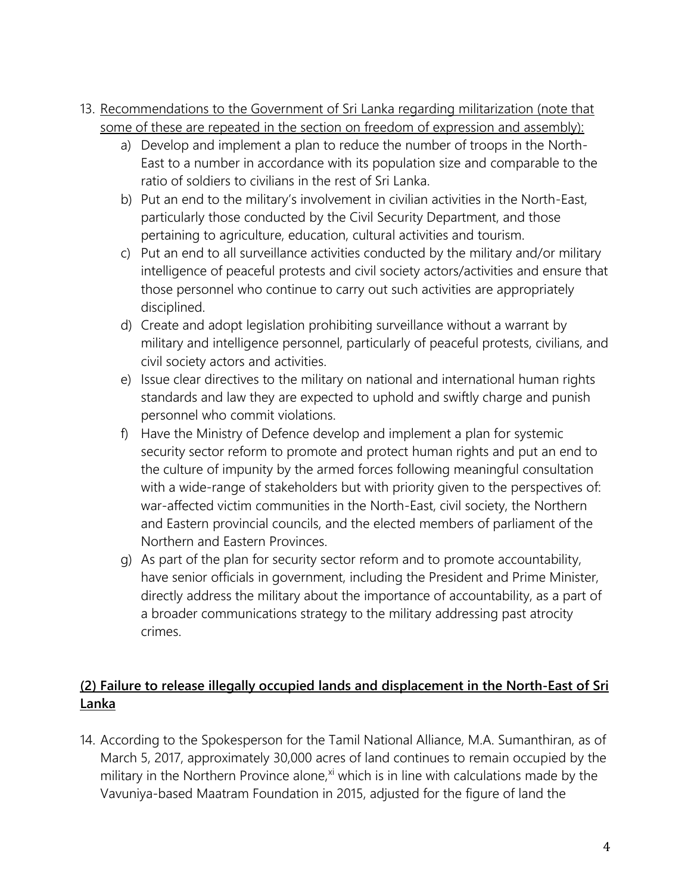- 13. Recommendations to the Government of Sri Lanka regarding militarization (note that some of these are repeated in the section on freedom of expression and assembly):
	- a) Develop and implement a plan to reduce the number of troops in the North-East to a number in accordance with its population size and comparable to the ratio of soldiers to civilians in the rest of Sri Lanka.
	- b) Put an end to the military's involvement in civilian activities in the North-East, particularly those conducted by the Civil Security Department, and those pertaining to agriculture, education, cultural activities and tourism.
	- c) Put an end to all surveillance activities conducted by the military and/or military intelligence of peaceful protests and civil society actors/activities and ensure that those personnel who continue to carry out such activities are appropriately disciplined.
	- d) Create and adopt legislation prohibiting surveillance without a warrant by military and intelligence personnel, particularly of peaceful protests, civilians, and civil society actors and activities.
	- e) Issue clear directives to the military on national and international human rights standards and law they are expected to uphold and swiftly charge and punish personnel who commit violations.
	- f) Have the Ministry of Defence develop and implement a plan for systemic security sector reform to promote and protect human rights and put an end to the culture of impunity by the armed forces following meaningful consultation with a wide-range of stakeholders but with priority given to the perspectives of: war-affected victim communities in the North-East, civil society, the Northern and Eastern provincial councils, and the elected members of parliament of the Northern and Eastern Provinces.
	- g) As part of the plan for security sector reform and to promote accountability, have senior officials in government, including the President and Prime Minister, directly address the military about the importance of accountability, as a part of a broader communications strategy to the military addressing past atrocity crimes.

# **(2) Failure to release illegally occupied lands and displacement in the North-East of Sri Lanka**

14. According to the Spokesperson for the Tamil National Alliance, M.A. Sumanthiran, as of March 5, 2017, approximately 30,000 acres of land continues to remain occupied by the military in the Northern Province alone, $x<sup>i</sup>$  which is in line with calculations made by the Vavuniya-based Maatram Foundation in 2015, adjusted for the figure of land the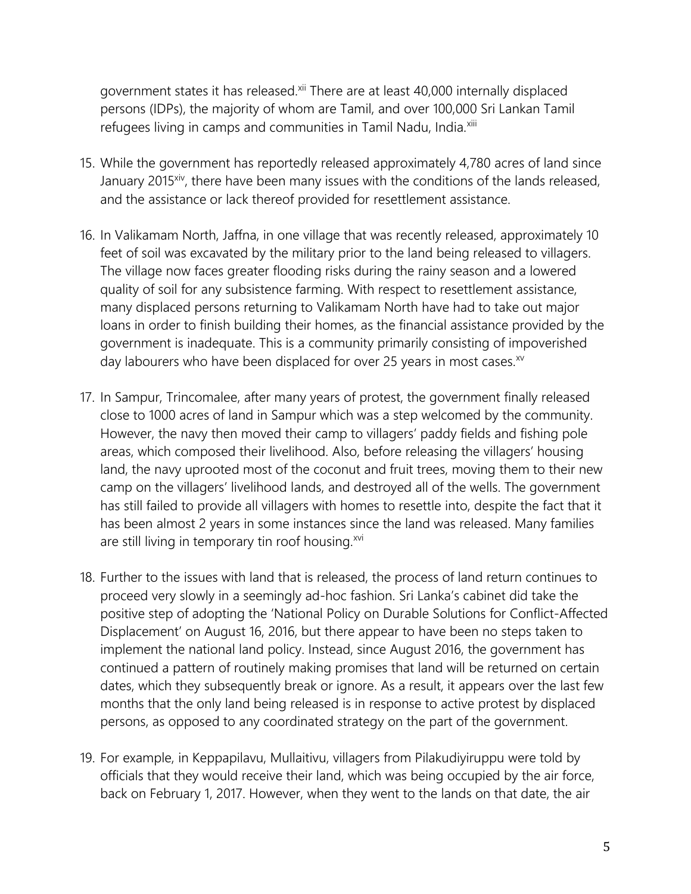government states it has released.<sup>xii</sup> There are at least 40,000 internally displaced persons (IDPs), the majority of whom are Tamil, and over 100,000 Sri Lankan Tamil refugees living in camps and communities in Tamil Nadu, India.<sup>xiii</sup>

- 15. While the government has reportedly released approximately 4,780 acres of land since January 2015<sup>xiv</sup>, there have been many issues with the conditions of the lands released, and the assistance or lack thereof provided for resettlement assistance.
- 16. In Valikamam North, Jaffna, in one village that was recently released, approximately 10 feet of soil was excavated by the military prior to the land being released to villagers. The village now faces greater flooding risks during the rainy season and a lowered quality of soil for any subsistence farming. With respect to resettlement assistance, many displaced persons returning to Valikamam North have had to take out major loans in order to finish building their homes, as the financial assistance provided by the government is inadequate. This is a community primarily consisting of impoverished day labourers who have been displaced for over 25 years in most cases.<sup>xv</sup>
- 17. In Sampur, Trincomalee, after many years of protest, the government finally released close to 1000 acres of land in Sampur which was a step welcomed by the community. However, the navy then moved their camp to villagers' paddy fields and fishing pole areas, which composed their livelihood. Also, before releasing the villagers' housing land, the navy uprooted most of the coconut and fruit trees, moving them to their new camp on the villagers' livelihood lands, and destroyed all of the wells. The government has still failed to provide all villagers with homes to resettle into, despite the fact that it has been almost 2 years in some instances since the land was released. Many families are still living in temporary tin roof housing.<sup>xvi</sup>
- 18. Further to the issues with land that is released, the process of land return continues to proceed very slowly in a seemingly ad-hoc fashion. Sri Lanka's cabinet did take the positive step of adopting the 'National Policy on Durable Solutions for Conflict-Affected Displacement' on August 16, 2016, but there appear to have been no steps taken to implement the national land policy. Instead, since August 2016, the government has continued a pattern of routinely making promises that land will be returned on certain dates, which they subsequently break or ignore. As a result, it appears over the last few months that the only land being released is in response to active protest by displaced persons, as opposed to any coordinated strategy on the part of the government.
- 19. For example, in Keppapilavu, Mullaitivu, villagers from Pilakudiyiruppu were told by officials that they would receive their land, which was being occupied by the air force, back on February 1, 2017. However, when they went to the lands on that date, the air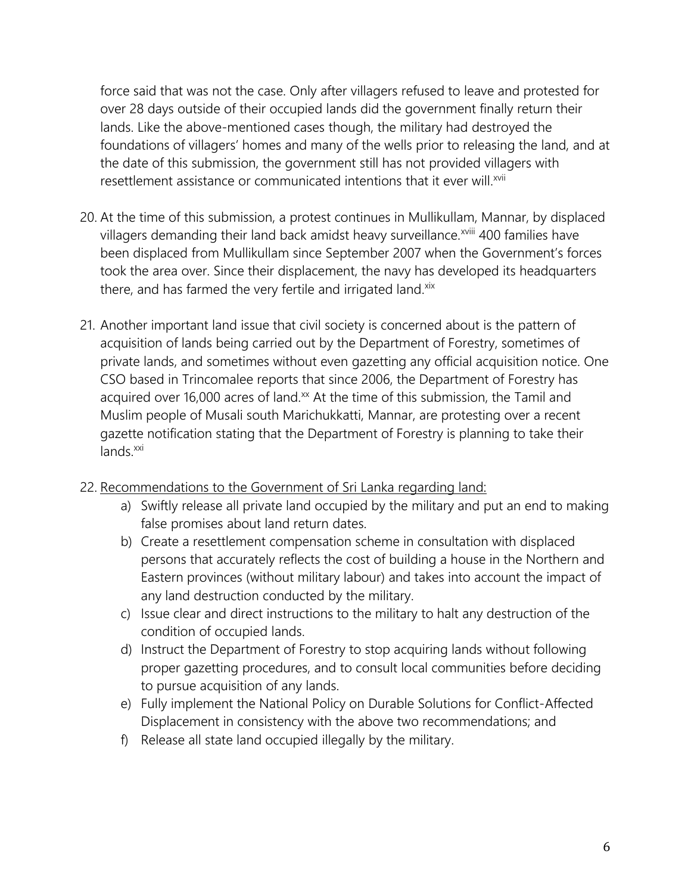force said that was not the case. Only after villagers refused to leave and protested for over 28 days outside of their occupied lands did the government finally return their lands. Like the above-mentioned cases though, the military had destroyed the foundations of villagers' homes and many of the wells prior to releasing the land, and at the date of this submission, the government still has not provided villagers with resettlement assistance or communicated intentions that it ever will.<sup>xvii</sup>

- 20. At the time of this submission, a protest continues in Mullikullam, Mannar, by displaced villagers demanding their land back amidst heavy surveillance.<sup>xviii</sup> 400 families have been displaced from Mullikullam since September 2007 when the Government's forces took the area over. Since their displacement, the navy has developed its headquarters there, and has farmed the very fertile and irrigated land.<sup>xix</sup>
- 21. Another important land issue that civil society is concerned about is the pattern of acquisition of lands being carried out by the Department of Forestry, sometimes of private lands, and sometimes without even gazetting any official acquisition notice. One CSO based in Trincomalee reports that since 2006, the Department of Forestry has acquired over 16,000 acres of land.<sup>xx</sup> At the time of this submission, the Tamil and Muslim people of Musali south Marichukkatti, Mannar, are protesting over a recent gazette notification stating that the Department of Forestry is planning to take their lands.<sup>xxi</sup>
- 22. Recommendations to the Government of Sri Lanka regarding land:
	- a) Swiftly release all private land occupied by the military and put an end to making false promises about land return dates.
	- b) Create a resettlement compensation scheme in consultation with displaced persons that accurately reflects the cost of building a house in the Northern and Eastern provinces (without military labour) and takes into account the impact of any land destruction conducted by the military.
	- c) Issue clear and direct instructions to the military to halt any destruction of the condition of occupied lands.
	- d) Instruct the Department of Forestry to stop acquiring lands without following proper gazetting procedures, and to consult local communities before deciding to pursue acquisition of any lands.
	- e) Fully implement the National Policy on Durable Solutions for Conflict-Affected Displacement in consistency with the above two recommendations; and
	- f) Release all state land occupied illegally by the military.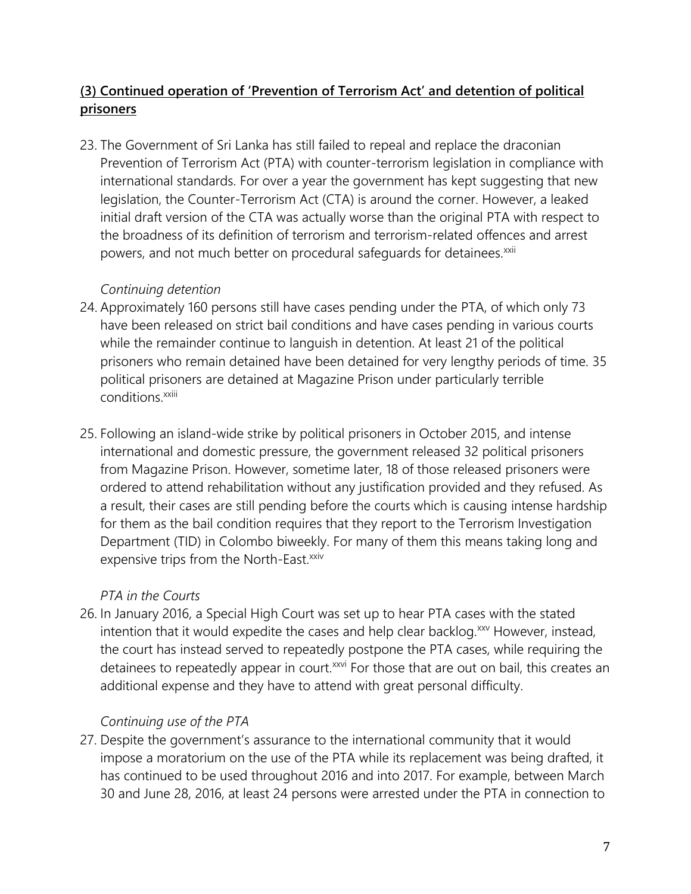# **(3) Continued operation of 'Prevention of Terrorism Act' and detention of political prisoners**

23. The Government of Sri Lanka has still failed to repeal and replace the draconian Prevention of Terrorism Act (PTA) with counter-terrorism legislation in compliance with international standards. For over a year the government has kept suggesting that new legislation, the Counter-Terrorism Act (CTA) is around the corner. However, a leaked initial draft version of the CTA was actually worse than the original PTA with respect to the broadness of its definition of terrorism and terrorism-related offences and arrest powers, and not much better on procedural safeguards for detainees.<sup>xxii</sup>

### *Continuing detention*

- 24. Approximately 160 persons still have cases pending under the PTA, of which only 73 have been released on strict bail conditions and have cases pending in various courts while the remainder continue to languish in detention. At least 21 of the political prisoners who remain detained have been detained for very lengthy periods of time. 35 political prisoners are detained at Magazine Prison under particularly terrible conditions.<sup>xxiii</sup>
- 25. Following an island-wide strike by political prisoners in October 2015, and intense international and domestic pressure, the government released 32 political prisoners from Magazine Prison. However, sometime later, 18 of those released prisoners were ordered to attend rehabilitation without any justification provided and they refused. As a result, their cases are still pending before the courts which is causing intense hardship for them as the bail condition requires that they report to the Terrorism Investigation Department (TID) in Colombo biweekly. For many of them this means taking long and expensive trips from the North-East.<sup>xxiv</sup>

# *PTA in the Courts*

26. In January 2016, a Special High Court was set up to hear PTA cases with the stated intention that it would expedite the cases and help clear backlog.<sup>xxv</sup> However, instead, the court has instead served to repeatedly postpone the PTA cases, while requiring the detainees to repeatedly appear in court.<sup>xxvi</sup> For those that are out on bail, this creates an additional expense and they have to attend with great personal difficulty.

# *Continuing use of the PTA*

27. Despite the government's assurance to the international community that it would impose a moratorium on the use of the PTA while its replacement was being drafted, it has continued to be used throughout 2016 and into 2017. For example, between March 30 and June 28, 2016, at least 24 persons were arrested under the PTA in connection to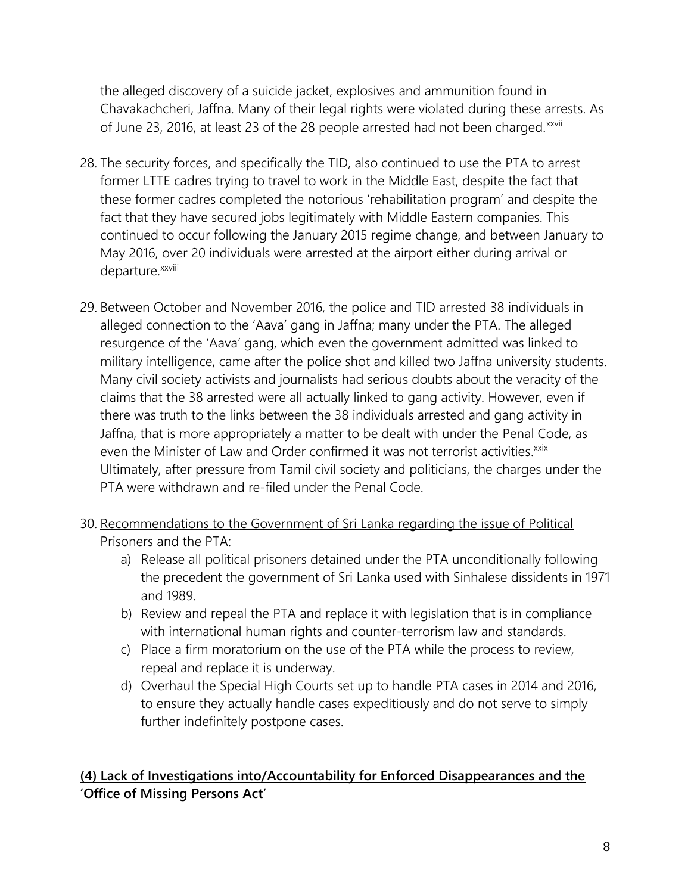the alleged discovery of a suicide jacket, explosives and ammunition found in Chavakachcheri, Jaffna. Many of their legal rights were violated during these arrests. As of June 23, 2016, at least 23 of the 28 people arrested had not been charged.<sup>xxvii</sup>

- 28. The security forces, and specifically the TID, also continued to use the PTA to arrest former LTTE cadres trying to travel to work in the Middle East, despite the fact that these former cadres completed the notorious 'rehabilitation program' and despite the fact that they have secured jobs legitimately with Middle Eastern companies. This continued to occur following the January 2015 regime change, and between January to May 2016, over 20 individuals were arrested at the airport either during arrival or departure.<sup>xxviii</sup>
- 29. Between October and November 2016, the police and TID arrested 38 individuals in alleged connection to the 'Aava' gang in Jaffna; many under the PTA. The alleged resurgence of the 'Aava' gang, which even the government admitted was linked to military intelligence, came after the police shot and killed two Jaffna university students. Many civil society activists and journalists had serious doubts about the veracity of the claims that the 38 arrested were all actually linked to gang activity. However, even if there was truth to the links between the 38 individuals arrested and gang activity in Jaffna, that is more appropriately a matter to be dealt with under the Penal Code, as even the Minister of Law and Order confirmed it was not terrorist activities.<sup>xxix</sup> Ultimately, after pressure from Tamil civil society and politicians, the charges under the PTA were withdrawn and re-filed under the Penal Code.
- 30. Recommendations to the Government of Sri Lanka regarding the issue of Political Prisoners and the PTA:
	- a) Release all political prisoners detained under the PTA unconditionally following the precedent the government of Sri Lanka used with Sinhalese dissidents in 1971 and 1989.
	- b) Review and repeal the PTA and replace it with legislation that is in compliance with international human rights and counter-terrorism law and standards.
	- c) Place a firm moratorium on the use of the PTA while the process to review, repeal and replace it is underway.
	- d) Overhaul the Special High Courts set up to handle PTA cases in 2014 and 2016, to ensure they actually handle cases expeditiously and do not serve to simply further indefinitely postpone cases.

### **(4) Lack of Investigations into/Accountability for Enforced Disappearances and the 'Office of Missing Persons Act'**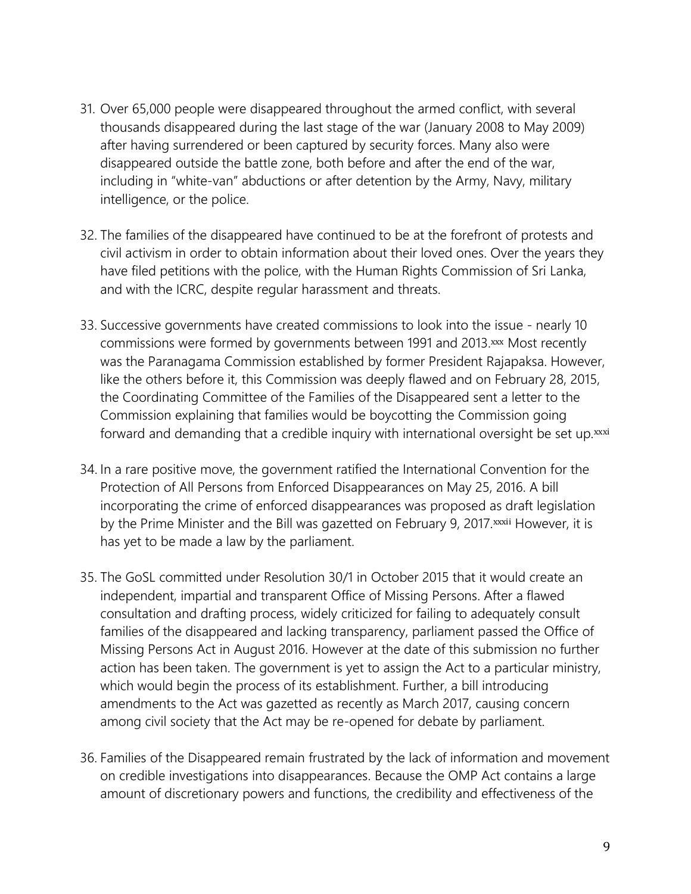- 31. Over 65,000 people were disappeared throughout the armed conflict, with several thousands disappeared during the last stage of the war (January 2008 to May 2009) after having surrendered or been captured by security forces. Many also were disappeared outside the battle zone, both before and after the end of the war, including in "white-van" abductions or after detention by the Army, Navy, military intelligence, or the police.
- 32. The families of the disappeared have continued to be at the forefront of protests and civil activism in order to obtain information about their loved ones. Over the years they have filed petitions with the police, with the Human Rights Commission of Sri Lanka, and with the ICRC, despite regular harassment and threats.
- 33. Successive governments have created commissions to look into the issue nearly 10 commissions were formed by governments between 1991 and 2013.xxx Most recently was the Paranagama Commission established by former President Rajapaksa. However, like the others before it, this Commission was deeply flawed and on February 28, 2015, the Coordinating Committee of the Families of the Disappeared sent a letter to the Commission explaining that families would be boycotting the Commission going forward and demanding that a credible inquiry with international oversight be set up.xxxi
- 34. In a rare positive move, the government ratified the International Convention for the Protection of All Persons from Enforced Disappearances on May 25, 2016. A bill incorporating the crime of enforced disappearances was proposed as draft legislation by the Prime Minister and the Bill was gazetted on February 9, 2017. xxxii However, it is has yet to be made a law by the parliament.
- 35. The GoSL committed under Resolution 30/1 in October 2015 that it would create an independent, impartial and transparent Office of Missing Persons. After a flawed consultation and drafting process, widely criticized for failing to adequately consult families of the disappeared and lacking transparency, parliament passed the Office of Missing Persons Act in August 2016. However at the date of this submission no further action has been taken. The government is yet to assign the Act to a particular ministry, which would begin the process of its establishment. Further, a bill introducing amendments to the Act was gazetted as recently as March 2017, causing concern among civil society that the Act may be re-opened for debate by parliament.
- 36. Families of the Disappeared remain frustrated by the lack of information and movement on credible investigations into disappearances. Because the OMP Act contains a large amount of discretionary powers and functions, the credibility and effectiveness of the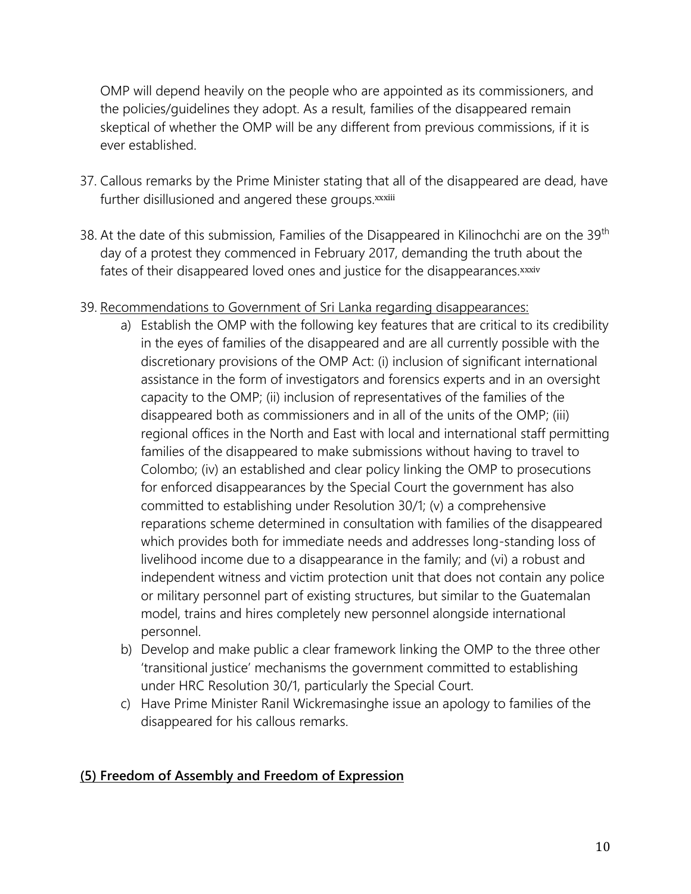OMP will depend heavily on the people who are appointed as its commissioners, and the policies/guidelines they adopt. As a result, families of the disappeared remain skeptical of whether the OMP will be any different from previous commissions, if it is ever established.

- 37. Callous remarks by the Prime Minister stating that all of the disappeared are dead, have further disillusioned and angered these groups.xxxiii
- 38. At the date of this submission, Families of the Disappeared in Kilinochchi are on the 39<sup>th</sup> day of a protest they commenced in February 2017, demanding the truth about the fates of their disappeared loved ones and justice for the disappearances.xxxiv

### 39. Recommendations to Government of Sri Lanka regarding disappearances:

- a) Establish the OMP with the following key features that are critical to its credibility in the eyes of families of the disappeared and are all currently possible with the discretionary provisions of the OMP Act: (i) inclusion of significant international assistance in the form of investigators and forensics experts and in an oversight capacity to the OMP; (ii) inclusion of representatives of the families of the disappeared both as commissioners and in all of the units of the OMP; (iii) regional offices in the North and East with local and international staff permitting families of the disappeared to make submissions without having to travel to Colombo; (iv) an established and clear policy linking the OMP to prosecutions for enforced disappearances by the Special Court the government has also committed to establishing under Resolution 30/1; (v) a comprehensive reparations scheme determined in consultation with families of the disappeared which provides both for immediate needs and addresses long-standing loss of livelihood income due to a disappearance in the family; and (vi) a robust and independent witness and victim protection unit that does not contain any police or military personnel part of existing structures, but similar to the Guatemalan model, trains and hires completely new personnel alongside international personnel.
- b) Develop and make public a clear framework linking the OMP to the three other 'transitional justice' mechanisms the government committed to establishing under HRC Resolution 30/1, particularly the Special Court.
- c) Have Prime Minister Ranil Wickremasinghe issue an apology to families of the disappeared for his callous remarks.

### **(5) Freedom of Assembly and Freedom of Expression**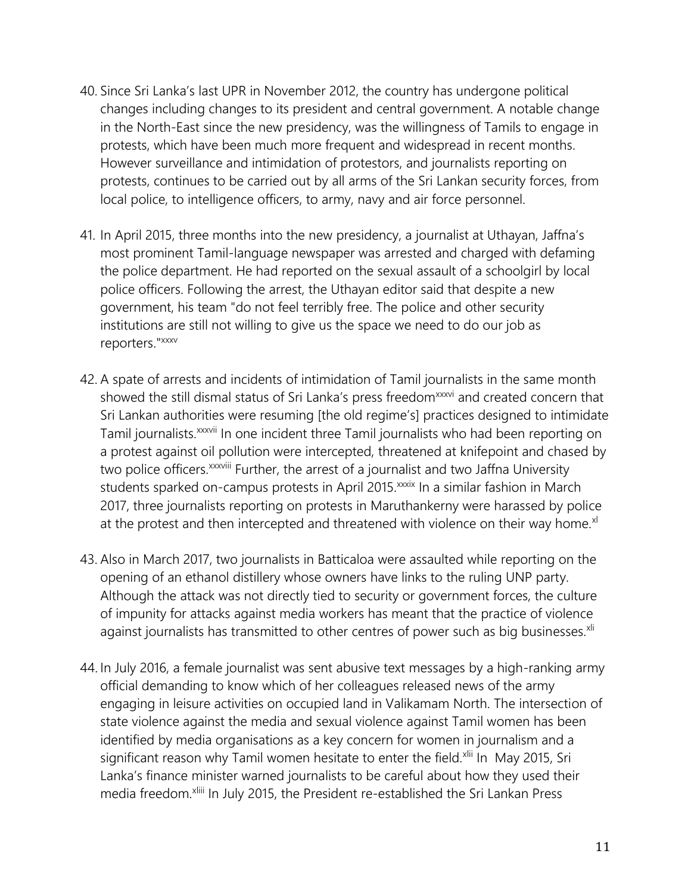- 40. Since Sri Lanka's last UPR in November 2012, the country has undergone political changes including changes to its president and central government. A notable change in the North-East since the new presidency, was the willingness of Tamils to engage in protests, which have been much more frequent and widespread in recent months. However surveillance and intimidation of protestors, and journalists reporting on protests, continues to be carried out by all arms of the Sri Lankan security forces, from local police, to intelligence officers, to army, navy and air force personnel.
- 41. In April 2015, three months into the new presidency, a journalist at Uthayan, Jaffna's most prominent Tamil-language newspaper was arrested and charged with defaming the police department. He had reported on the sexual assault of a schoolgirl by local police officers. Following the arrest, the Uthayan editor said that despite a new government, his team "do not feel terribly free. The police and other security institutions are still not willing to give us the space we need to do our job as reporters."xxxv
- 42. A spate of arrests and incidents of intimidation of Tamil journalists in the same month showed the still dismal status of Sri Lanka's press freedom<sup>xxxvi</sup> and created concern that Sri Lankan authorities were resuming [the old regime's] practices designed to intimidate Tamil journalists.<sup>xxxvii</sup> In one incident three Tamil journalists who had been reporting on a protest against oil pollution were intercepted, threatened at knifepoint and chased by two police officers. xxxviii Further, the arrest of a journalist and two Jaffna University students sparked on-campus protests in April 2015. XXXIX In a similar fashion in March 2017, three journalists reporting on protests in Maruthankerny were harassed by police at the protest and then intercepted and threatened with violence on their way home. $x^{1}$
- 43. Also in March 2017, two journalists in Batticaloa were assaulted while reporting on the opening of an ethanol distillery whose owners have links to the ruling UNP party. Although the attack was not directly tied to security or government forces, the culture of impunity for attacks against media workers has meant that the practice of violence against journalists has transmitted to other centres of power such as big businesses.<sup>xli</sup>
- 44. In July 2016, a female journalist was sent abusive text messages by a high-ranking army official demanding to know which of her colleagues released news of the army engaging in leisure activities on occupied land in Valikamam North. The intersection of state violence against the media and sexual violence against Tamil women has been identified by media organisations as a key concern for women in journalism and a significant reason why Tamil women hesitate to enter the field.<sup>xlii</sup> In May 2015, Sri Lanka's finance minister warned journalists to be careful about how they used their media freedom.<sup>xliii</sup> In July 2015, the President re-established the Sri Lankan Press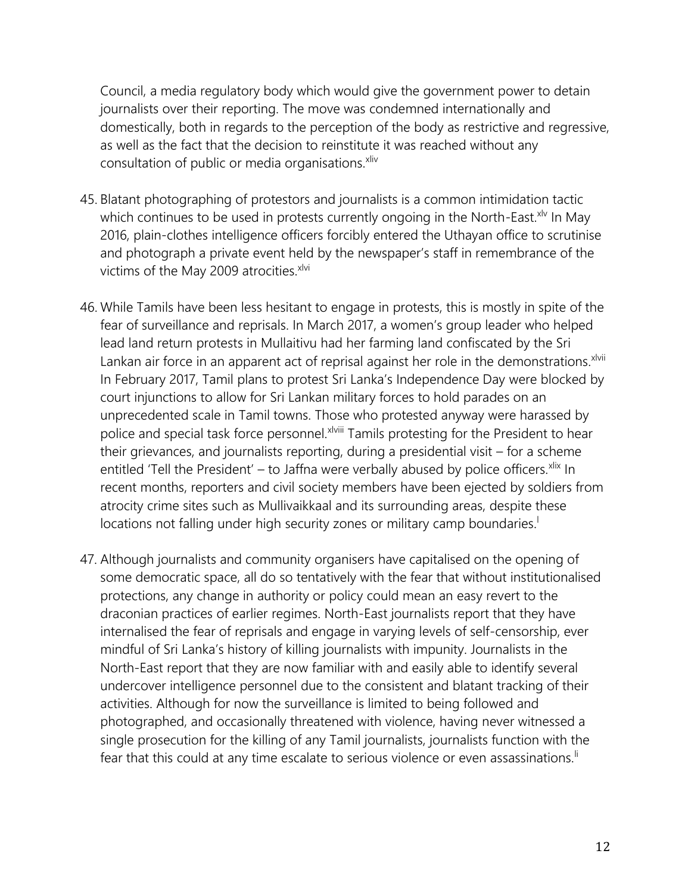Council, a media regulatory body which would give the government power to detain journalists over their reporting. The move was condemned internationally and domestically, both in regards to the perception of the body as restrictive and regressive, as well as the fact that the decision to reinstitute it was reached without any consultation of public or media organisations.<sup>xliv</sup>

- 45. Blatant photographing of protestors and journalists is a common intimidation tactic which continues to be used in protests currently ongoing in the North-East. $x^{1/2}$  In May 2016, plain-clothes intelligence officers forcibly entered the Uthayan office to scrutinise and photograph a private event held by the newspaper's staff in remembrance of the victims of the May 2009 atrocities. $x^{1/2}$
- 46. While Tamils have been less hesitant to engage in protests, this is mostly in spite of the fear of surveillance and reprisals. In March 2017, a women's group leader who helped lead land return protests in Mullaitivu had her farming land confiscated by the Sri Lankan air force in an apparent act of reprisal against her role in the demonstrations. xlvii In February 2017, Tamil plans to protest Sri Lanka's Independence Day were blocked by court injunctions to allow for Sri Lankan military forces to hold parades on an unprecedented scale in Tamil towns. Those who protested anyway were harassed by police and special task force personnel. XIVIII Tamils protesting for the President to hear their grievances, and journalists reporting, during a presidential visit – for a scheme entitled 'Tell the President' – to Jaffna were verbally abused by police officers. $x$ lix In recent months, reporters and civil society members have been ejected by soldiers from atrocity crime sites such as Mullivaikkaal and its surrounding areas, despite these locations not falling under high security zones or military camp boundaries.<sup>1</sup>
- 47. Although journalists and community organisers have capitalised on the opening of some democratic space, all do so tentatively with the fear that without institutionalised protections, any change in authority or policy could mean an easy revert to the draconian practices of earlier regimes. North-East journalists report that they have internalised the fear of reprisals and engage in varying levels of self-censorship, ever mindful of Sri Lanka's history of killing journalists with impunity. Journalists in the North-East report that they are now familiar with and easily able to identify several undercover intelligence personnel due to the consistent and blatant tracking of their activities. Although for now the surveillance is limited to being followed and photographed, and occasionally threatened with violence, having never witnessed a single prosecution for the killing of any Tamil journalists, journalists function with the fear that this could at any time escalate to serious violence or even assassinations.<sup>Ii</sup>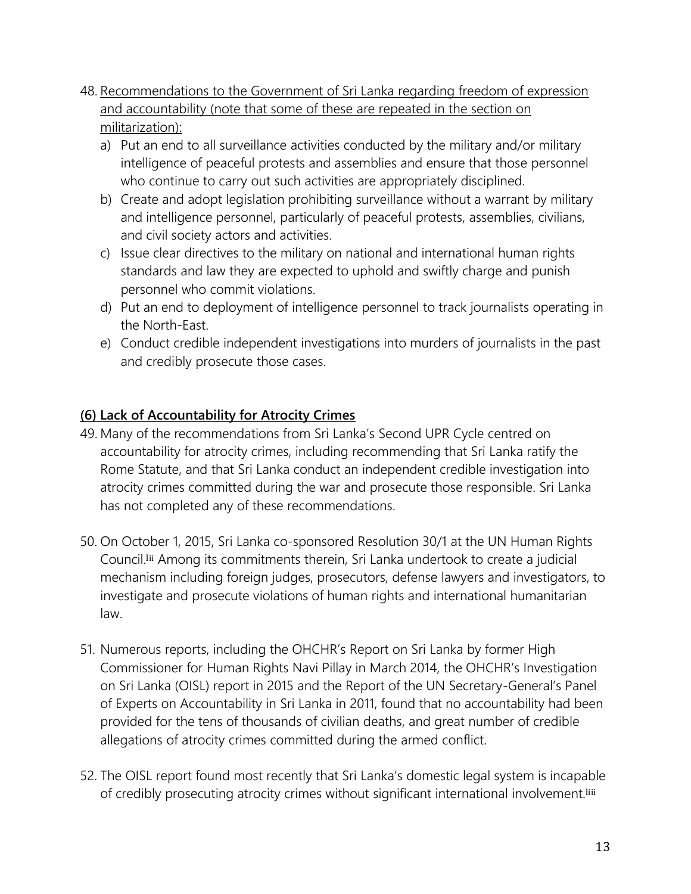- 48. Recommendations to the Government of Sri Lanka regarding freedom of expression and accountability (note that some of these are repeated in the section on militarization):
	- a) Put an end to all surveillance activities conducted by the military and/or military intelligence of peaceful protests and assemblies and ensure that those personnel who continue to carry out such activities are appropriately disciplined.
	- b) Create and adopt legislation prohibiting surveillance without a warrant by military and intelligence personnel, particularly of peaceful protests, assemblies, civilians, and civil society actors and activities.
	- c) Issue clear directives to the military on national and international human rights standards and law they are expected to uphold and swiftly charge and punish personnel who commit violations.
	- d) Put an end to deployment of intelligence personnel to track journalists operating in the North-East.
	- e) Conduct credible independent investigations into murders of journalists in the past and credibly prosecute those cases.

# **(6) Lack of Accountability for Atrocity Crimes**

- 49. Many of the recommendations from Sri Lanka's Second UPR Cycle centred on accountability for atrocity crimes, including recommending that Sri Lanka ratify the Rome Statute, and that Sri Lanka conduct an independent credible investigation into atrocity crimes committed during the war and prosecute those responsible. Sri Lanka has not completed any of these recommendations.
- 50. On October 1, 2015, Sri Lanka co-sponsored Resolution 30/1 at the UN Human Rights Council.lii Among its commitments therein, Sri Lanka undertook to create a judicial mechanism including foreign judges, prosecutors, defense lawyers and investigators, to investigate and prosecute violations of human rights and international humanitarian law.
- 51. Numerous reports, including the OHCHR's Report on Sri Lanka by former High Commissioner for Human Rights Navi Pillay in March 2014, the OHCHR's Investigation on Sri Lanka (OISL) report in 2015 and the Report of the UN Secretary-General's Panel of Experts on Accountability in Sri Lanka in 2011, found that no accountability had been provided for the tens of thousands of civilian deaths, and great number of credible allegations of atrocity crimes committed during the armed conflict.
- 52. The OISL report found most recently that Sri Lanka's domestic legal system is incapable of credibly prosecuting atrocity crimes without significant international involvement.<sup>liii</sup>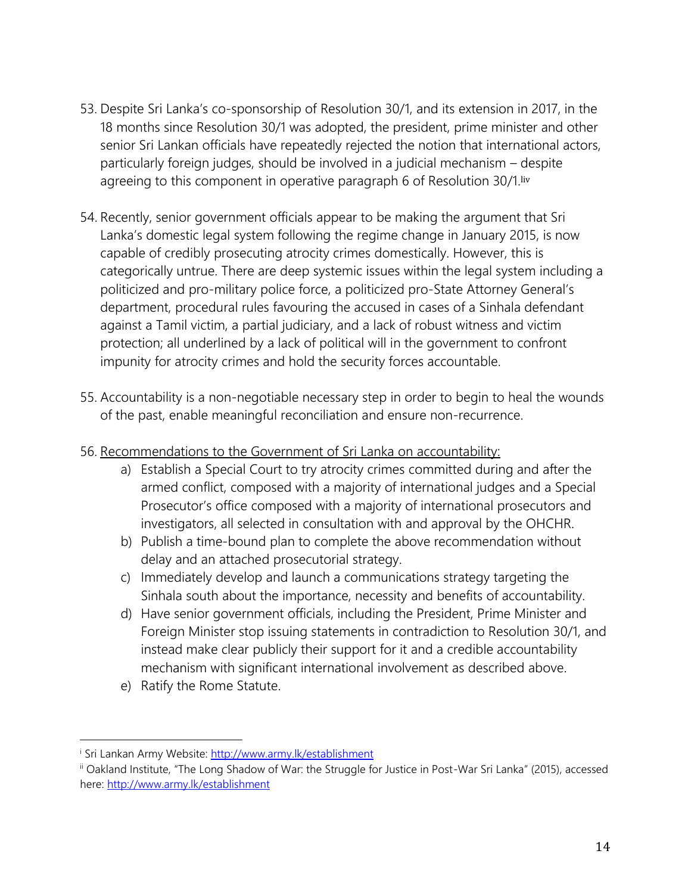- 53. Despite Sri Lanka's co-sponsorship of Resolution 30/1, and its extension in 2017, in the 18 months since Resolution 30/1 was adopted, the president, prime minister and other senior Sri Lankan officials have repeatedly rejected the notion that international actors, particularly foreign judges, should be involved in a judicial mechanism – despite agreeing to this component in operative paragraph 6 of Resolution 30/1.liv
- 54. Recently, senior government officials appear to be making the argument that Sri Lanka's domestic legal system following the regime change in January 2015, is now capable of credibly prosecuting atrocity crimes domestically. However, this is categorically untrue. There are deep systemic issues within the legal system including a politicized and pro-military police force, a politicized pro-State Attorney General's department, procedural rules favouring the accused in cases of a Sinhala defendant against a Tamil victim, a partial judiciary, and a lack of robust witness and victim protection; all underlined by a lack of political will in the government to confront impunity for atrocity crimes and hold the security forces accountable.
- 55. Accountability is a non-negotiable necessary step in order to begin to heal the wounds of the past, enable meaningful reconciliation and ensure non-recurrence.
- 56. Recommendations to the Government of Sri Lanka on accountability:
	- a) Establish a Special Court to try atrocity crimes committed during and after the armed conflict, composed with a majority of international judges and a Special Prosecutor's office composed with a majority of international prosecutors and investigators, all selected in consultation with and approval by the OHCHR.
	- b) Publish a time-bound plan to complete the above recommendation without delay and an attached prosecutorial strategy.
	- c) Immediately develop and launch a communications strategy targeting the Sinhala south about the importance, necessity and benefits of accountability.
	- d) Have senior government officials, including the President, Prime Minister and Foreign Minister stop issuing statements in contradiction to Resolution 30/1, and instead make clear publicly their support for it and a credible accountability mechanism with significant international involvement as described above.
	- e) Ratify the Rome Statute.

l

<sup>i</sup> Sri Lankan Army Website:<http://www.army.lk/establishment>

ii Oakland Institute, "The Long Shadow of War: the Struggle for Justice in Post-War Sri Lanka" (2015), accessed here:<http://www.army.lk/establishment>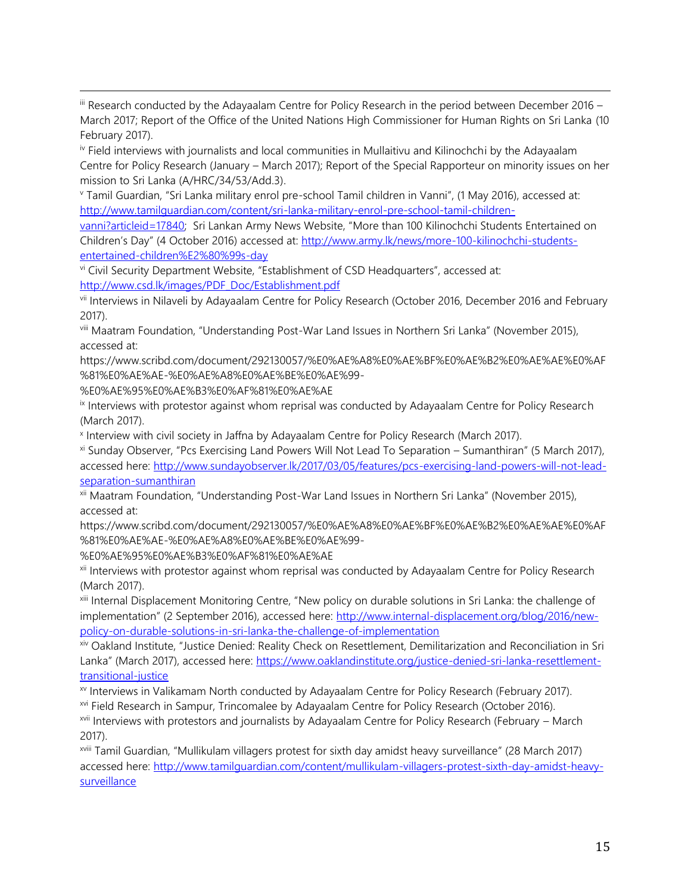iii Research conducted by the Adayaalam Centre for Policy Research in the period between December 2016 -March 2017; Report of the Office of the United Nations High Commissioner for Human Rights on Sri Lanka (10 February 2017).

iv Field interviews with journalists and local communities in Mullaitivu and Kilinochchi by the Adayaalam Centre for Policy Research (January – March 2017); Report of the Special Rapporteur on minority issues on her mission to Sri Lanka (A/HRC/34/53/Add.3).

<sup>v</sup> Tamil Guardian, "Sri Lanka military enrol pre-school Tamil children in Vanni", (1 May 2016), accessed at: [http://www.tamilguardian.com/content/sri-lanka-military-enrol-pre-school-tamil-children-](http://www.tamilguardian.com/content/sri-lanka-military-enrol-pre-school-tamil-children-vanni?articleid=17840)

[vanni?articleid=17840](http://www.tamilguardian.com/content/sri-lanka-military-enrol-pre-school-tamil-children-vanni?articleid=17840); Sri Lankan Army News Website, "More than 100 Kilinochchi Students Entertained on Children's Day" (4 October 2016) accessed at: [http://www.army.lk/news/more-100-kilinochchi-students](http://www.army.lk/news/more-100-kilinochchi-students-entertained-children%E2%80%99s-day)[entertained-children%E2%80%99s-day](http://www.army.lk/news/more-100-kilinochchi-students-entertained-children%E2%80%99s-day)

vi Civil Security Department Website, "Establishment of CSD Headquarters", accessed at: [http://www.csd.lk/images/PDF\\_Doc/Establishment.pdf](http://www.csd.lk/images/PDF_Doc/Establishment.pdf)

vii Interviews in Nilaveli by Adayaalam Centre for Policy Research (October 2016, December 2016 and February 2017).

viii Maatram Foundation, "Understanding Post-War Land Issues in Northern Sri Lanka" (November 2015), accessed at:

https://www.scribd.com/document/292130057/%E0%AE%A8%E0%AE%BF%E0%AE%B2%E0%AE%AE%E0%AF %81%E0%AE%AE-%E0%AE%A8%E0%AE%BE%E0%AE%99-

%E0%AE%95%E0%AE%B3%E0%AF%81%E0%AE%AE

 $\overline{\phantom{a}}$ 

ix Interviews with protestor against whom reprisal was conducted by Adayaalam Centre for Policy Research (March 2017).

x Interview with civil society in Jaffna by Adayaalam Centre for Policy Research (March 2017).

xi Sunday Observer, "Pcs Exercising Land Powers Will Not Lead To Separation – Sumanthiran" (5 March 2017), accessed here: [http://www.sundayobserver.lk/2017/03/05/features/pcs-exercising-land-powers-will-not-lead](http://www.sundayobserver.lk/2017/03/05/features/pcs-exercising-land-powers-will-not-lead-separation-sumanthiran)[separation-sumanthiran](http://www.sundayobserver.lk/2017/03/05/features/pcs-exercising-land-powers-will-not-lead-separation-sumanthiran)

xii Maatram Foundation, "Understanding Post-War Land Issues in Northern Sri Lanka" (November 2015), accessed at:

https://www.scribd.com/document/292130057/%E0%AE%A8%E0%AE%BF%E0%AE%B2%E0%AE%AE%E0%AF %81%E0%AE%AE-%E0%AE%A8%E0%AE%BE%E0%AE%99-

%E0%AE%95%E0%AE%B3%E0%AF%81%E0%AE%AE

xii Interviews with protestor against whom reprisal was conducted by Adayaalam Centre for Policy Research (March 2017).

xiii Internal Displacement Monitoring Centre, "New policy on durable solutions in Sri Lanka: the challenge of implementation" (2 September 2016), accessed here: [http://www.internal-displacement.org/blog/2016/new](http://www.internal-displacement.org/blog/2016/new-policy-on-durable-solutions-in-sri-lanka-the-challenge-of-implementation)[policy-on-durable-solutions-in-sri-lanka-the-challenge-of-implementation](http://www.internal-displacement.org/blog/2016/new-policy-on-durable-solutions-in-sri-lanka-the-challenge-of-implementation)

xiv Oakland Institute, "Justice Denied: Reality Check on Resettlement, Demilitarization and Reconciliation in Sri Lanka" (March 2017), accessed here: [https://www.oaklandinstitute.org/justice-denied-sri-lanka-resettlement](https://www.oaklandinstitute.org/justice-denied-sri-lanka-resettlement-transitional-justice)[transitional-justice](https://www.oaklandinstitute.org/justice-denied-sri-lanka-resettlement-transitional-justice)

xv Interviews in Valikamam North conducted by Adayaalam Centre for Policy Research (February 2017).

xvi Field Research in Sampur, Trincomalee by Adayaalam Centre for Policy Research (October 2016).

xvii Interviews with protestors and journalists by Adayaalam Centre for Policy Research (February – March 2017).

xviii Tamil Guardian, "Mullikulam villagers protest for sixth day amidst heavy surveillance" (28 March 2017) accessed here: [http://www.tamilguardian.com/content/mullikulam-villagers-protest-sixth-day-amidst-heavy](http://www.tamilguardian.com/content/mullikulam-villagers-protest-sixth-day-amidst-heavy-surveillance)[surveillance](http://www.tamilguardian.com/content/mullikulam-villagers-protest-sixth-day-amidst-heavy-surveillance)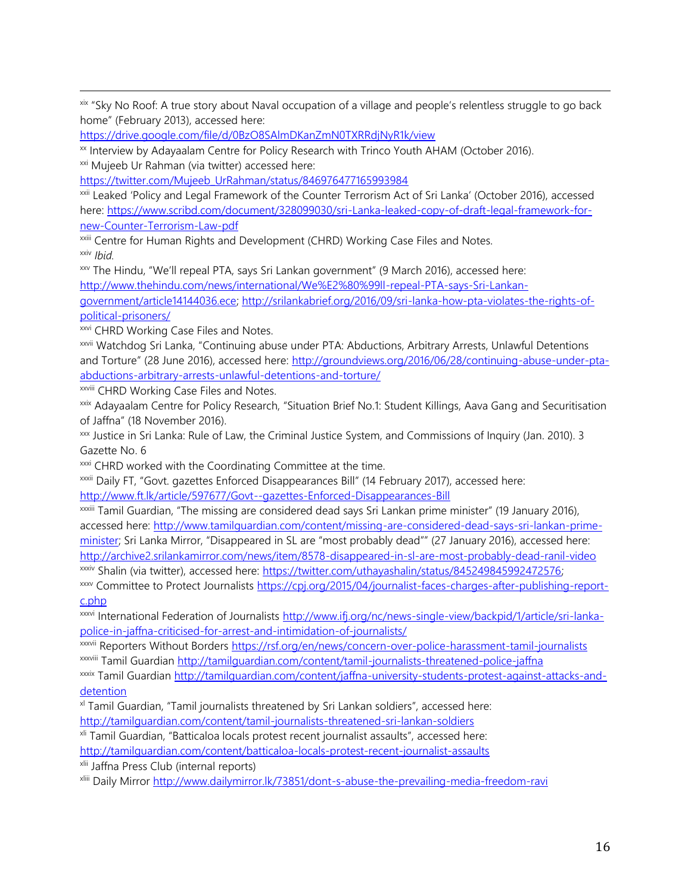xix "Sky No Roof: A true story about Naval occupation of a village and people's relentless struggle to go back home" (February 2013), accessed here:

<https://drive.google.com/file/d/0BzO8SAlmDKanZmN0TXRRdjNyR1k/view>

xx Interview by Adayaalam Centre for Policy Research with Trinco Youth AHAM (October 2016).

xxi Mujeeb Ur Rahman (via twitter) accessed here:

 $\overline{\phantom{a}}$ 

[https://twitter.com/Mujeeb\\_UrRahman/status/846976477165993984](https://twitter.com/Mujeeb_UrRahman/status/846976477165993984)

xxii Leaked 'Policy and Legal Framework of the Counter Terrorism Act of Sri Lanka' (October 2016), accessed here: [https://www.scribd.com/document/328099030/sri-Lanka-leaked-copy-of-draft-legal-framework-for](https://www.scribd.com/document/328099030/sri-Lanka-leaked-copy-of-draft-legal-framework-for-new-Counter-Terrorism-Law-pdf)[new-Counter-Terrorism-Law-pdf](https://www.scribd.com/document/328099030/sri-Lanka-leaked-copy-of-draft-legal-framework-for-new-Counter-Terrorism-Law-pdf)

xxiii Centre for Human Rights and Development (CHRD) Working Case Files and Notes. xxiv *Ibid.* 

xxv The Hindu, "We'll repeal PTA, says Sri Lankan government" (9 March 2016), accessed here:

[http://www.thehindu.com/news/international/We%E2%80%99ll-repeal-PTA-says-Sri-Lankan-](http://www.thehindu.com/news/international/We%E2%80%99ll-repeal-PTA-says-Sri-Lankan-government/article14144036.ece)

[government/article14144036.ece;](http://www.thehindu.com/news/international/We%E2%80%99ll-repeal-PTA-says-Sri-Lankan-government/article14144036.ece) [http://srilankabrief.org/2016/09/sri-lanka-how-pta-violates-the-rights-of](http://srilankabrief.org/2016/09/sri-lanka-how-pta-violates-the-rights-of-political-prisoners/)[political-prisoners/](http://srilankabrief.org/2016/09/sri-lanka-how-pta-violates-the-rights-of-political-prisoners/)

**xxvi CHRD Working Case Files and Notes.** 

xxvii Watchdog Sri Lanka, "Continuing abuse under PTA: Abductions, Arbitrary Arrests, Unlawful Detentions and Torture" (28 June 2016), accessed here: [http://groundviews.org/2016/06/28/continuing-abuse-under-pta](http://groundviews.org/2016/06/28/continuing-abuse-under-pta-abductions-arbitrary-arrests-unlawful-detentions-and-torture/)[abductions-arbitrary-arrests-unlawful-detentions-and-torture/](http://groundviews.org/2016/06/28/continuing-abuse-under-pta-abductions-arbitrary-arrests-unlawful-detentions-and-torture/)

xxviii CHRD Working Case Files and Notes.

xxix Adayaalam Centre for Policy Research, "Situation Brief No.1: Student Killings, Aava Gang and Securitisation of Jaffna" (18 November 2016).

xxx Justice in Sri Lanka: Rule of Law, the Criminal Justice System, and Commissions of Inquiry (Jan. 2010). 3 Gazette No. 6

xxxi CHRD worked with the Coordinating Committee at the time.

xxxii Daily FT, "Govt. gazettes Enforced Disappearances Bill" (14 February 2017), accessed here: <http://www.ft.lk/article/597677/Govt--gazettes-Enforced-Disappearances-Bill>

xxxiii Tamil Guardian, "The missing are considered dead says Sri Lankan prime minister" (19 January 2016), accessed here: [http://www.tamilguardian.com/content/missing-are-considered-dead-says-sri-lankan-prime](http://www.tamilguardian.com/content/missing-are-considered-dead-says-sri-lankan-prime-minister)[minister](http://www.tamilguardian.com/content/missing-are-considered-dead-says-sri-lankan-prime-minister); Sri Lanka Mirror, "Disappeared in SL are "most probably dead"" (27 January 2016), accessed here: <http://archive2.srilankamirror.com/news/item/8578-disappeared-in-sl-are-most-probably-dead-ranil-video> xxxiv Shalin (via twitter), accessed here: [https://twitter.com/uthayashalin/status/845249845992472576;](https://twitter.com/uthayashalin/status/845249845992472576) 

xxxv Committee to Protect Journalists [https://cpj.org/2015/04/journalist-faces-charges-after-publishing-report](https://cpj.org/2015/04/journalist-faces-charges-after-publishing-report-c.php)[c.php](https://cpj.org/2015/04/journalist-faces-charges-after-publishing-report-c.php)

xxxvi International Federation of Journalists [http://www.ifj.org/nc/news-single-view/backpid/1/article/sri-lanka](http://www.ifj.org/nc/news-single-view/backpid/1/article/sri-lanka-police-in-jaffna-criticised-for-arrest-and-intimidation-of-journalists/)[police-in-jaffna-criticised-for-arrest-and-intimidation-of-journalists/](http://www.ifj.org/nc/news-single-view/backpid/1/article/sri-lanka-police-in-jaffna-criticised-for-arrest-and-intimidation-of-journalists/)

xxxvii Reporters Without Borders<https://rsf.org/en/news/concern-over-police-harassment-tamil-journalists> xxxviii Tamil Guardian<http://tamilguardian.com/content/tamil-journalists-threatened-police-jaffna>

xxxix Tamil Guardian [http://tamilguardian.com/content/jaffna-university-students-protest-against-attacks-and](http://tamilguardian.com/content/jaffna-university-students-protest-against-attacks-and-detention)[detention](http://tamilguardian.com/content/jaffna-university-students-protest-against-attacks-and-detention)

xl Tamil Guardian, "Tamil journalists threatened by Sri Lankan soldiers", accessed here: <http://tamilguardian.com/content/tamil-journalists-threatened-sri-lankan-soldiers>

xli Tamil Guardian, "Batticaloa locals protest recent journalist assaults", accessed here:

<http://tamilguardian.com/content/batticaloa-locals-protest-recent-journalist-assaults>

xlii Jaffna Press Club (internal reports)

xliii Daily Mirror<http://www.dailymirror.lk/73851/dont-s-abuse-the-prevailing-media-freedom-ravi>